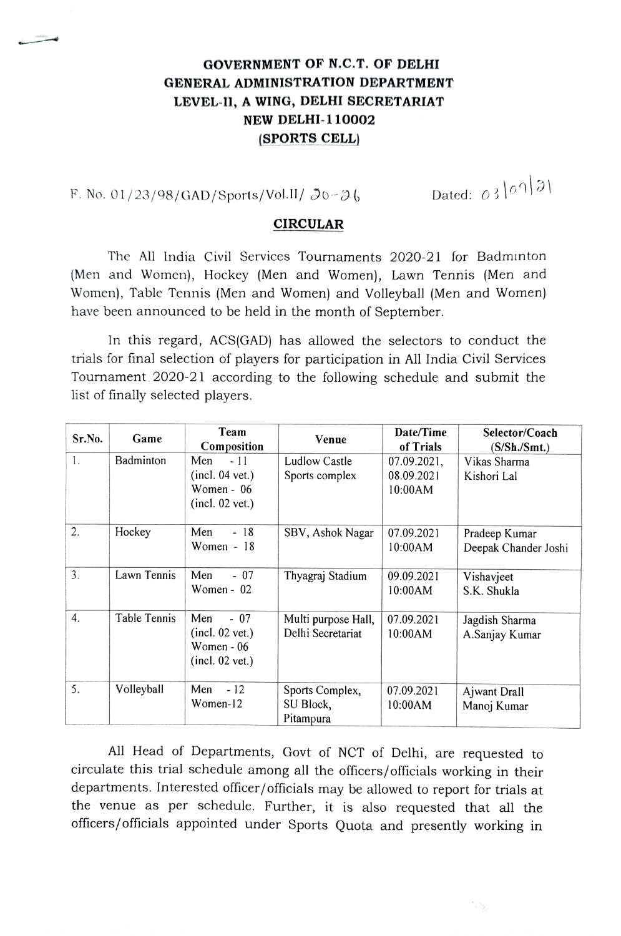## GOVERNMENT OF N.C.T. OF DELHI GENERAL ADMINISTRATION DEPARTMENT LEVEL-I1, A WING, DELHI SECRETARIAT NEW DELHI-110002 (SPORTS CELL)

F. No. 01/23/98/GAD/Sports/Vol.II/  $30-36$  Dated: 03/09/31

## CIRCULAR

The All India Civil Services Tournaments 2020-21 for Badminton (Men and Women), Hockey (Men and Women), Lawn Tennis (Men and Women), Table Tennis (Men and Women) and Volleyball (Men and Women) have been announced to be held in the month of September.

In this regard, ACS(GAD) has allowed the selectors to conduct the trials for final selection of players for participation in All India Civil Services Tournament 2020-21 according to the following schedule and submit the list of finally selected players.

| Sr.No. | Game         | Team<br>Composition                                                | Venue                                     | Date/Time<br>of Trials               | Selector/Coach<br>(S/Sh.Smt.)         |
|--------|--------------|--------------------------------------------------------------------|-------------------------------------------|--------------------------------------|---------------------------------------|
| 1.     | Badminton    | Men<br>$-11$<br>(incl. 04 vet.)<br>Women - $06$<br>(incl. 02 vet.) | <b>Ludlow Castle</b><br>Sports complex    | 07.09.2021,<br>08.09.2021<br>10:00AM | Vikas Sharma<br>Kishori Lal           |
| 2.     | Hockey       | $-18$<br>Men<br>Women $-18$                                        | SBV, Ashok Nagar                          | 07.09.2021<br>10:00AM                | Pradeep Kumar<br>Deepak Chander Joshi |
| 3.     | Lawn Tennis  | Men<br>$-07$<br>Women - 02                                         | Thyagraj Stadium                          | 09.09.2021<br>10:00AM                | Vishavjeet<br>S.K. Shukla             |
| 4.     | Table Tennis | Men<br>$-07$<br>(incl. 02 vet.)<br>Women - 06<br>(incl. 02 vet.)   | Multi purpose Hall,<br>Delhi Secretariat  | 07.09.2021<br>10:00AM                | Jagdish Sharma<br>A.Sanjay Kumar      |
| 5.     | Volleyball   | $-12$<br>Men<br>Women-12                                           | Sports Complex,<br>SU Block,<br>Pitampura | 07.09.2021<br>10:00AM                | Ajwant Drall<br>Manoj Kumar           |

All Head of Departments, Govt of NCT of Delhi, are requested to circulate this trial schedule among all the officers/officials working in their departments. Interested officer/officials may be allowed to report for trials at the venue as per schedule. Further, it is also requested that all the officers/officials appointed under Sports Quota and presently working in

\* 13.